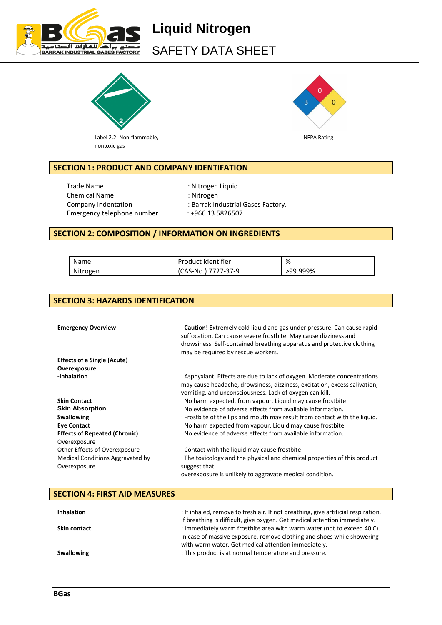

# **Liquid Nitrogen** SAFETY DATA SHEET



Label 2.2: Non-flammable, Non-Elementary and the U.S. of the U.S. of the U.S. of the U.S. of the U.S. of the U.S. of the U.S. of the U.S. of the U.S. of the U.S. of the U.S. of the U.S. of the U.S. of the U.S. of the U.S. nontoxic gas



## **SECTION 1: PRODUCT AND COMPANY IDENTIFATION**

Trade Name : Nitrogen Liquid Chemical Name : Nitrogen Emergency telephone number : +966 13 5826507

- 
- Company Indentation : Barrak Industrial Gases Factory.
	-

## **SECTION 2: COMPOSITION / INFORMATION ON INGREDIENTS**

| Name     | Product identifier  | %        |
|----------|---------------------|----------|
| Nitrogen | (CAS-No.) 7727-37-9 | >99.999% |

## **SECTION 3: HAZARDS IDENTIFICATION**

| <b>Emergency Overview</b>                        | : Caution! Extremely cold liquid and gas under pressure. Can cause rapid<br>suffocation. Can cause severe frostbite. May cause dizziness and<br>drowsiness. Self-contained breathing apparatus and protective clothing<br>may be required by rescue workers. |
|--------------------------------------------------|--------------------------------------------------------------------------------------------------------------------------------------------------------------------------------------------------------------------------------------------------------------|
| <b>Effects of a Single (Acute)</b>               |                                                                                                                                                                                                                                                              |
| Overexposure                                     |                                                                                                                                                                                                                                                              |
| -Inhalation                                      | : Asphyxiant. Effects are due to lack of oxygen. Moderate concentrations<br>may cause headache, drowsiness, dizziness, excitation, excess salivation,<br>vomiting, and unconsciousness. Lack of oxygen can kill.                                             |
| <b>Skin Contact</b>                              | : No harm expected. from vapour. Liquid may cause frostbite.                                                                                                                                                                                                 |
| <b>Skin Absorption</b>                           | : No evidence of adverse effects from available information.                                                                                                                                                                                                 |
| <b>Swallowing</b>                                | : Frostbite of the lips and mouth may result from contact with the liquid.                                                                                                                                                                                   |
| <b>Eye Contact</b>                               | : No harm expected from vapour. Liquid may cause frostbite.                                                                                                                                                                                                  |
| <b>Effects of Repeated (Chronic)</b>             | : No evidence of adverse effects from available information.                                                                                                                                                                                                 |
| Overexposure                                     |                                                                                                                                                                                                                                                              |
| Other Effects of Overexposure                    | : Contact with the liquid may cause frostbite                                                                                                                                                                                                                |
| Medical Conditions Aggravated by<br>Overexposure | : The toxicology and the physical and chemical properties of this product<br>suggest that                                                                                                                                                                    |
|                                                  | overexposure is unlikely to aggravate medical condition.                                                                                                                                                                                                     |

| <b>SECTION 4: FIRST AID MEASURES</b> |                                                                                                                                                   |
|--------------------------------------|---------------------------------------------------------------------------------------------------------------------------------------------------|
| <b>Inhalation</b>                    | : If inhaled, remove to fresh air. If not breathing, give artificial respiration.                                                                 |
|                                      | If breathing is difficult, give oxygen. Get medical attention immediately.                                                                        |
| <b>Skin contact</b>                  | : Immediately warm frostbite area with warm water (not to exceed 40 C).<br>In case of massive exposure, remove clothing and shoes while showering |
|                                      | with warm water. Get medical attention immediately.                                                                                               |
| <b>Swallowing</b>                    | : This product is at normal temperature and pressure.                                                                                             |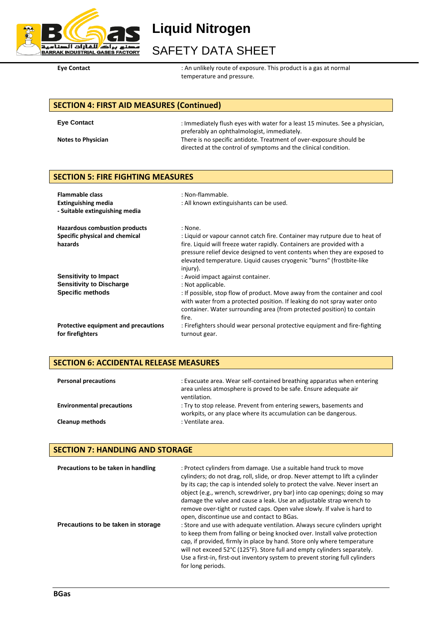

**Liquid Nitrogen**

## SAFETY DATA SHEET

Eye Contact **Explorer :** An unlikely route of exposure. This product is a gas at normal temperature and pressure.

## **SECTION 4: FIRST AID MEASURES (Continued)**

| <b>Eve Contact</b>        | : Immediately flush eyes with water for a least 15 minutes. See a physician, |
|---------------------------|------------------------------------------------------------------------------|
|                           | preferably an ophthalmologist, immediately.                                  |
| <b>Notes to Physician</b> | There is no specific antidote. Treatment of over-exposure should be          |
|                           | directed at the control of symptoms and the clinical condition.              |

## **SECTION 5: FIRE FIGHTING MEASURES**

| <b>Flammable class</b><br><b>Extinguishing media</b><br>- Suitable extinguishing media | : Non-flammable.<br>: All known extinguishants can be used.                                                                                                                                                                                                                                                                       |
|----------------------------------------------------------------------------------------|-----------------------------------------------------------------------------------------------------------------------------------------------------------------------------------------------------------------------------------------------------------------------------------------------------------------------------------|
| Hazardous combustion products<br>Specific physical and chemical<br>hazards             | : None.<br>: Liquid or vapour cannot catch fire. Container may rutpure due to heat of<br>fire. Liquid will freeze water rapidly. Containers are provided with a<br>pressure relief device designed to vent contents when they are exposed to<br>elevated temperature. Liquid causes cryogenic "burns" (frostbite-like<br>injury). |
| Sensitivity to Impact                                                                  | : Avoid impact against container.                                                                                                                                                                                                                                                                                                 |
| <b>Sensitivity to Discharge</b>                                                        | : Not applicable.                                                                                                                                                                                                                                                                                                                 |
| <b>Specific methods</b>                                                                | : If possible, stop flow of product. Move away from the container and cool<br>with water from a protected position. If leaking do not spray water onto<br>container. Water surrounding area (from protected position) to contain<br>fire.                                                                                         |
| Protective equipment and precautions<br>for firefighters                               | : Firefighters should wear personal protective equipment and fire-fighting<br>turnout gear.                                                                                                                                                                                                                                       |

## **SECTION 6: ACCIDENTAL RELEASE MEASURES**

| <b>Personal precautions</b>      | : Evacuate area. Wear self-contained breathing apparatus when entering<br>area unless atmosphere is proved to be safe. Ensure adequate air<br>ventilation. |
|----------------------------------|------------------------------------------------------------------------------------------------------------------------------------------------------------|
| <b>Environmental precautions</b> | : Try to stop release. Prevent from entering sewers, basements and<br>workpits, or any place where its accumulation can be dangerous.                      |
| <b>Cleanup methods</b>           | : Ventilate area.                                                                                                                                          |

## **SECTION 7: HANDLING AND STORAGE**

| Precautions to be taken in handling | : Protect cylinders from damage. Use a suitable hand truck to move<br>cylinders; do not drag, roll, slide, or drop. Never attempt to lift a cylinder<br>by its cap; the cap is intended solely to protect the valve. Never insert an<br>object (e.g., wrench, screwdriver, pry bar) into cap openings; doing so may<br>damage the valve and cause a leak. Use an adjustable strap wrench to<br>remove over-tight or rusted caps. Open valve slowly. If valve is hard to<br>open, discontinue use and contact to BGas. |
|-------------------------------------|-----------------------------------------------------------------------------------------------------------------------------------------------------------------------------------------------------------------------------------------------------------------------------------------------------------------------------------------------------------------------------------------------------------------------------------------------------------------------------------------------------------------------|
| Precautions to be taken in storage  | : Store and use with adequate ventilation. Always secure cylinders upright<br>to keep them from falling or being knocked over. Install valve protection<br>cap, if provided, firmly in place by hand. Store only where temperature<br>will not exceed 52°C (125°F). Store full and empty cylinders separately.<br>Use a first-in, first-out inventory system to prevent storing full cylinders<br>for long periods.                                                                                                   |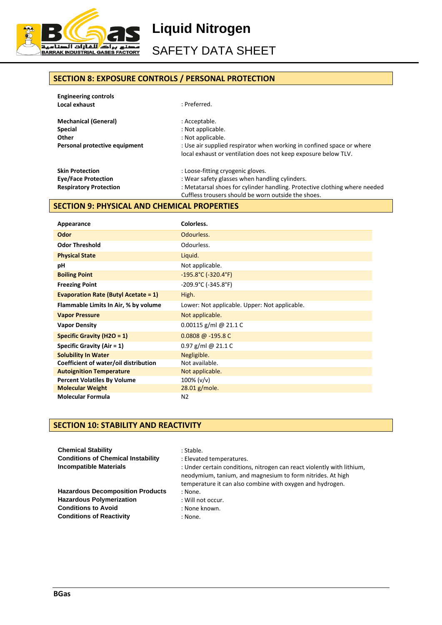

**Liquid Nitrogen**

SAFETY DATA SHEET

## **SECTION 8: EXPOSURE CONTROLS / PERSONAL PROTECTION**

| <b>Engineering controls</b>   |                                                                            |
|-------------------------------|----------------------------------------------------------------------------|
| Local exhaust                 | : Preferred.                                                               |
| <b>Mechanical (General)</b>   | : Acceptable.                                                              |
| <b>Special</b>                | : Not applicable.                                                          |
| Other                         | : Not applicable.                                                          |
| Personal protective equipment | : Use air supplied respirator when working in confined space or where      |
|                               | local exhaust or ventilation does not keep exposure below TLV.             |
| <b>Skin Protection</b>        | : Loose-fitting cryogenic gloves.                                          |
| <b>Eye/Face Protection</b>    | : Wear safety glasses when handling cylinders.                             |
| <b>Respiratory Protection</b> | : Metatarsal shoes for cylinder handling. Protective clothing where needed |
|                               | Cuffless trousers should be worn outside the shoes.                        |

## **SECTION 9: PHYSICAL AND CHEMICAL PROPERTIES**

| Appearance                                  | Colorless.                                    |
|---------------------------------------------|-----------------------------------------------|
| Odor                                        | Odourless.                                    |
| <b>Odor Threshold</b>                       | Odourless.                                    |
| <b>Physical State</b>                       | Liquid.                                       |
| рH                                          | Not applicable.                               |
| <b>Boiling Point</b>                        | $-195.8^{\circ}$ C (-320.4 $^{\circ}$ F)      |
| <b>Freezing Point</b>                       | $-209.9^{\circ}$ C (-345.8°F)                 |
| <b>Evaporation Rate (Butyl Acetate = 1)</b> | High.                                         |
| Flammable Limits In Air, % by volume        | Lower: Not applicable. Upper: Not applicable. |
| <b>Vapor Pressure</b>                       | Not applicable.                               |
| <b>Vapor Density</b>                        | 0.00115 g/ml @ 21.1 C                         |
| Specific Gravity (H2O = $1$ )               | $0.0808 \omega - 195.8 \omega$                |
| Specific Gravity (Air $= 1$ )               | $0.97$ g/ml @ 21.1 C                          |
| <b>Solubility In Water</b>                  | Negligible.                                   |
| Coefficient of water/oil distribution       | Not available.                                |
| <b>Autoignition Temperature</b>             | Not applicable.                               |
| <b>Percent Volatiles By Volume</b>          | $100\%$ (v/v)                                 |
| <b>Molecular Weight</b>                     | 28.01 g/mole.                                 |
| <b>Molecular Formula</b>                    | N <sub>2</sub>                                |

### **SECTION 10: STABILITY AND REACTIVITY**

| <b>Chemical Stability</b>                 | : Stable.                                                                                                                                                                                         |
|-------------------------------------------|---------------------------------------------------------------------------------------------------------------------------------------------------------------------------------------------------|
| <b>Conditions of Chemical Instability</b> | : Elevated temperatures.                                                                                                                                                                          |
| <b>Incompatible Materials</b>             | : Under certain conditions, nitrogen can react violently with lithium,<br>neodymium, tanium, and magnesium to form nitrides. At high<br>temperature it can also combine with oxygen and hydrogen. |
| <b>Hazardous Decomposition Products</b>   | : None.                                                                                                                                                                                           |
| <b>Hazardous Polymerization</b>           | : Will not occur.                                                                                                                                                                                 |
| <b>Conditions to Avoid</b>                | : None known.                                                                                                                                                                                     |
| <b>Conditions of Reactivity</b>           | : None.                                                                                                                                                                                           |